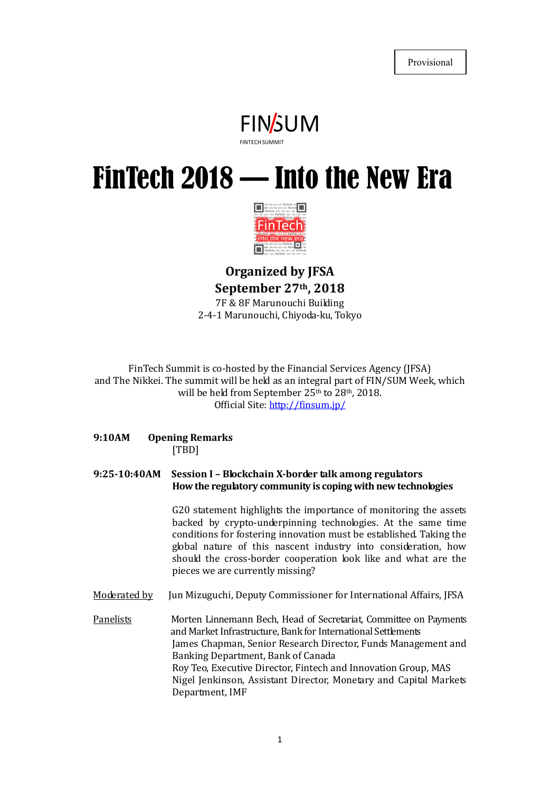

# FINSUM FREED SUMMIT FREED SUMMIT THE NEW FITA FinTech 2018 — Into the New Era



# Organized by JFSA September 27th, 2018 7F & 8F Marunouchi Building 2-4-1 Marunouchi, Chiyoda-ku, Tokyo

FinTech Summit is co-hosted by the Financial Services Agency (JFSA) and The Nikkei. The summit will be held as an integral part of FIN/SUM Week, which will be held from September 25<sup>th</sup> to 28<sup>th</sup>, 2018.

Official Site: http://finsum.jp/

9:10AM Opening Remarks [TBD]

#### 9:25-10:40AM Session I – Blockchain X-border talk among regulators How the regulatory community is coping with new technologies

G20 statement highlights the importance of monitoring the assets backed by crypto-underpinning technologies. At the same time conditions for fostering innovation must be established. Taking the global nature of this nascent industry into consideration, how should the cross-border cooperation look like and what are the pieces we are currently missing?

Moderated by Jun Mizuguchi, Deputy Commissioner for International Affairs, JFSA

Panelists Morten Linnemann Bech, Head of Secretariat, Committee on Payments and Market Infrastructure, Bank for International Settlements James Chapman, Senior Research Director, Funds Management and Banking Department, Bank of Canada Roy Teo, Executive Director, Fintech and Innovation Group, MAS Nigel Jenkinson, Assistant Director, Monetary and Capital Markets Department, IMF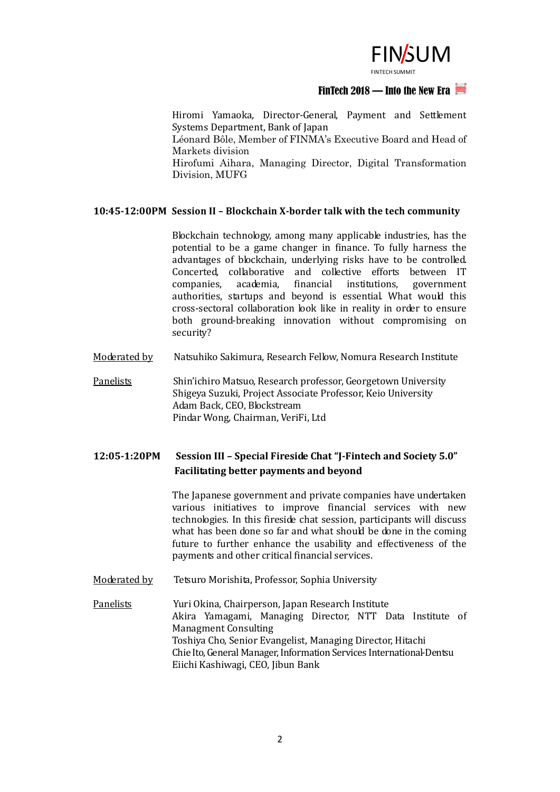

#### FinTech 2018 — Into the New Era

FINSUMMIT<br>
— Into the New Era<br>
ent and Settlement<br>
ve Board and Head of Hiromi Yamaoka, Director-General, Payment and Settlement Systems Department, Bank of Japan Léonard Bôle, Member of FINMA's Executive Board and Head of Markets division Hirofumi Aihara, Managing Director, Digital Transformation Division, MUFG

#### 10:45-12:00PM Session II – Blockchain X-border talk with the tech community

Blockchain technology, among many applicable industries, has the potential to be a game changer in finance. To fully harness the advantages of blockchain, underlying risks have to be controlled. Concerted, collaborative and collective efforts between IT companies, academia, financial institutions, government authorities, startups and beyond is essential. What would this cross-sectoral collaboration look like in reality in order to ensure both ground-breaking innovation without compromising on security?

- Moderated by Natsuhiko Sakimura, Research Fellow, Nomura Research Institute
- Panelists Shin'ichiro Matsuo, Research professor, Georgetown University Shigeya Suzuki, Project Associate Professor, Keio University Adam Back, CEO, Blockstream Pindar Wong, Chairman, VeriFi, Ltd

# 12:05-1:20PM Session III – Special Fireside Chat "J-Fintech and Society 5.0" Facilitating better payments and beyond

The Japanese government and private companies have undertaken various initiatives to improve financial services with new technologies. In this fireside chat session, participants will discuss what has been done so far and what should be done in the coming future to further enhance the usability and effectiveness of the payments and other critical financial services.

Moderated by Tetsuro Morishita, Professor, Sophia University

Panelists Yuri Okina, Chairperson, Japan Research Institute Akira Yamagami, Managing Director, NTT Data Institute of Managment Consulting Toshiya Cho, Senior Evangelist, Managing Director, Hitachi Chie Ito, General Manager, Information Services International-Dentsu Eiichi Kashiwagi, CEO, Jibun Bank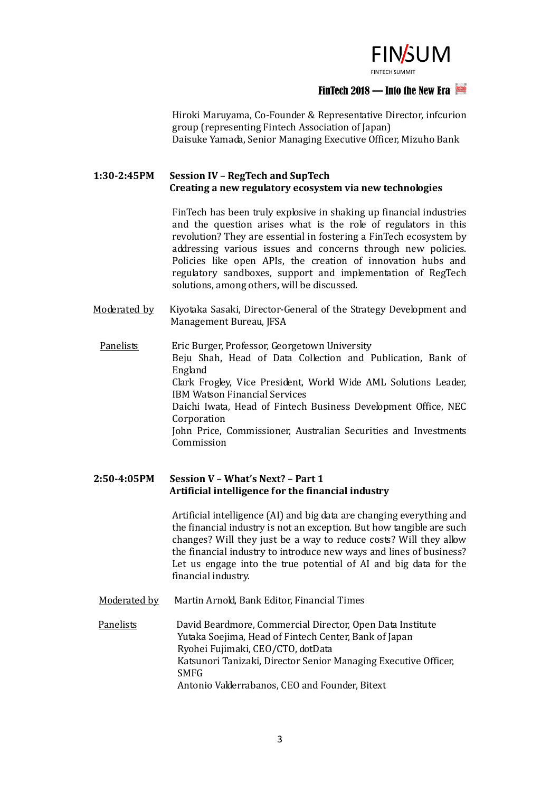

# FinTech 2018 — Into the New Era

 $FLN/5UMMIT$ <br>  $-$  Into the New Era<br>
ive Director, infcurion<br>
pan)<br>Officer. Mizuho Bank Hiroki Maruyama, Co-Founder & Representative Director, infcurion group (representing Fintech Association of Japan) Daisuke Yamada, Senior Managing Executive Officer, Mizuho Bank

# 1:30-2:45PM Session IV – RegTech and SupTech Creating a new regulatory ecosystem via new technologies

FinTech has been truly explosive in shaking up financial industries and the question arises what is the role of regulators in this revolution? They are essential in fostering a FinTech ecosystem by addressing various issues and concerns through new policies. Policies like open APIs, the creation of innovation hubs and regulatory sandboxes, support and implementation of RegTech solutions, among others, will be discussed.

Moderated by Kiyotaka Sasaki, Director-General of the Strategy Development and Management Bureau, JFSA

Panelists **Eric Burger, Professor, Georgetown University** Beju Shah, Head of Data Collection and Publication, Bank of England Clark Frogley, Vice President, World Wide AML Solutions Leader, IBM Watson Financial Services Daichi Iwata, Head of Fintech Business Development Office, NEC **Corporation** John Price, Commissioner, Australian Securities and Investments Commission

## 2:50-4:05PM Session V – What's Next? – Part 1 Artificial intelligence for the financial industry

Artificial intelligence (AI) and big data are changing everything and the financial industry is not an exception. But how tangible are such changes? Will they just be a way to reduce costs? Will they allow the financial industry to introduce new ways and lines of business? Let us engage into the true potential of AI and big data for the financial industry.

Moderated by Martin Arnold, Bank Editor, Financial Times

Panelists David Beardmore, Commercial Director, Open Data Institute Yutaka Soejima, Head of Fintech Center, Bank of Japan Ryohei Fujimaki, CEO/CTO, dotData Katsunori Tanizaki, Director Senior Managing Executive Officer, **SMFG** Antonio Valderrabanos, CEO and Founder, Bitext